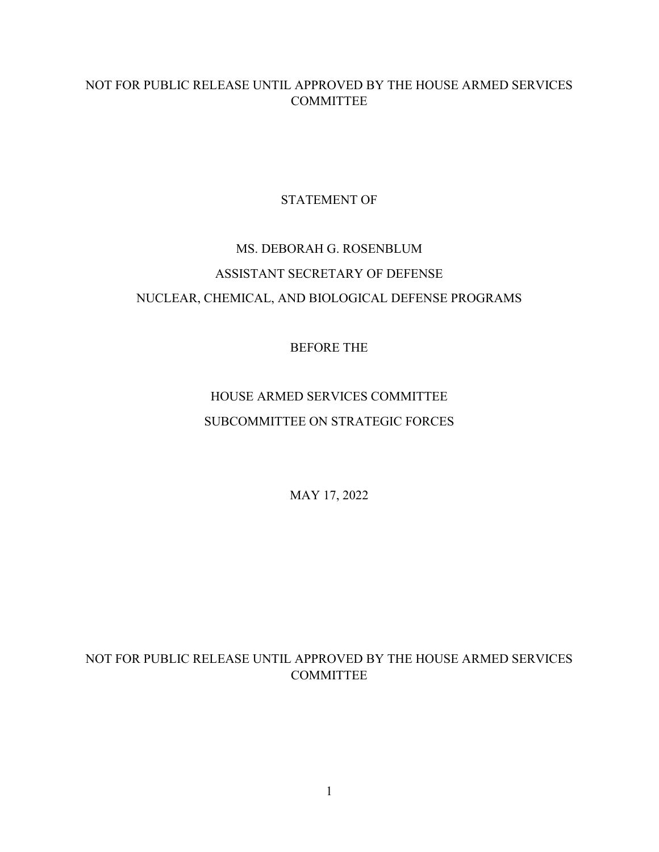## NOT FOR PUBLIC RELEASE UNTIL APPROVED BY THE HOUSE ARMED SERVICES COMMITTEE

## STATEMENT OF

# MS. DEBORAH G. ROSENBLUM ASSISTANT SECRETARY OF DEFENSE NUCLEAR, CHEMICAL, AND BIOLOGICAL DEFENSE PROGRAMS

## BEFORE THE

## HOUSE ARMED SERVICES COMMITTEE SUBCOMMITTEE ON STRATEGIC FORCES

MAY 17, 2022

## NOT FOR PUBLIC RELEASE UNTIL APPROVED BY THE HOUSE ARMED SERVICES COMMITTEE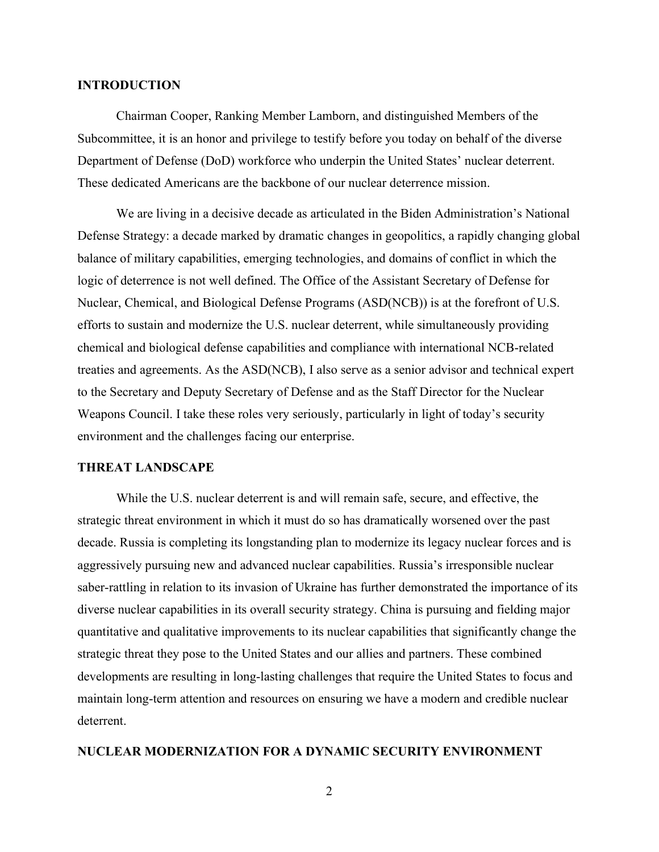#### **INTRODUCTION**

Chairman Cooper, Ranking Member Lamborn, and distinguished Members of the Subcommittee, it is an honor and privilege to testify before you today on behalf of the diverse Department of Defense (DoD) workforce who underpin the United States' nuclear deterrent. These dedicated Americans are the backbone of our nuclear deterrence mission.

We are living in a decisive decade as articulated in the Biden Administration's National Defense Strategy: a decade marked by dramatic changes in geopolitics, a rapidly changing global balance of military capabilities, emerging technologies, and domains of conflict in which the logic of deterrence is not well defined. The Office of the Assistant Secretary of Defense for Nuclear, Chemical, and Biological Defense Programs (ASD(NCB)) is at the forefront of U.S. efforts to sustain and modernize the U.S. nuclear deterrent, while simultaneously providing chemical and biological defense capabilities and compliance with international NCB-related treaties and agreements. As the ASD(NCB), I also serve as a senior advisor and technical expert to the Secretary and Deputy Secretary of Defense and as the Staff Director for the Nuclear Weapons Council. I take these roles very seriously, particularly in light of today's security environment and the challenges facing our enterprise.

#### **THREAT LANDSCAPE**

While the U.S. nuclear deterrent is and will remain safe, secure, and effective, the strategic threat environment in which it must do so has dramatically worsened over the past decade. Russia is completing its longstanding plan to modernize its legacy nuclear forces and is aggressively pursuing new and advanced nuclear capabilities. Russia's irresponsible nuclear saber-rattling in relation to its invasion of Ukraine has further demonstrated the importance of its diverse nuclear capabilities in its overall security strategy. China is pursuing and fielding major quantitative and qualitative improvements to its nuclear capabilities that significantly change the strategic threat they pose to the United States and our allies and partners. These combined developments are resulting in long-lasting challenges that require the United States to focus and maintain long-term attention and resources on ensuring we have a modern and credible nuclear deterrent.

#### **NUCLEAR MODERNIZATION FOR A DYNAMIC SECURITY ENVIRONMENT**

2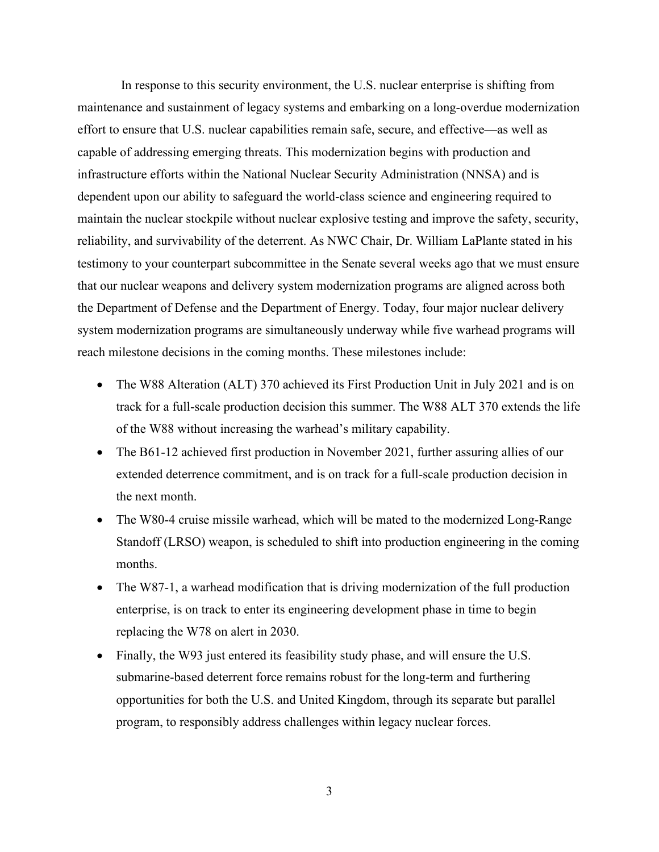In response to this security environment, the U.S. nuclear enterprise is shifting from maintenance and sustainment of legacy systems and embarking on a long-overdue modernization effort to ensure that U.S. nuclear capabilities remain safe, secure, and effective—as well as capable of addressing emerging threats. This modernization begins with production and infrastructure efforts within the National Nuclear Security Administration (NNSA) and is dependent upon our ability to safeguard the world-class science and engineering required to maintain the nuclear stockpile without nuclear explosive testing and improve the safety, security, reliability, and survivability of the deterrent. As NWC Chair, Dr. William LaPlante stated in his testimony to your counterpart subcommittee in the Senate several weeks ago that we must ensure that our nuclear weapons and delivery system modernization programs are aligned across both the Department of Defense and the Department of Energy. Today, four major nuclear delivery system modernization programs are simultaneously underway while five warhead programs will reach milestone decisions in the coming months. These milestones include:

- The W88 Alteration (ALT) 370 achieved its First Production Unit in July 2021 and is on track for a full-scale production decision this summer. The W88 ALT 370 extends the life of the W88 without increasing the warhead's military capability.
- The B61-12 achieved first production in November 2021, further assuring allies of our extended deterrence commitment, and is on track for a full-scale production decision in the next month.
- The W80-4 cruise missile warhead, which will be mated to the modernized Long-Range Standoff (LRSO) weapon, is scheduled to shift into production engineering in the coming months.
- The W87-1, a warhead modification that is driving modernization of the full production enterprise, is on track to enter its engineering development phase in time to begin replacing the W78 on alert in 2030.
- Finally, the W93 just entered its feasibility study phase, and will ensure the U.S. submarine-based deterrent force remains robust for the long-term and furthering opportunities for both the U.S. and United Kingdom, through its separate but parallel program, to responsibly address challenges within legacy nuclear forces.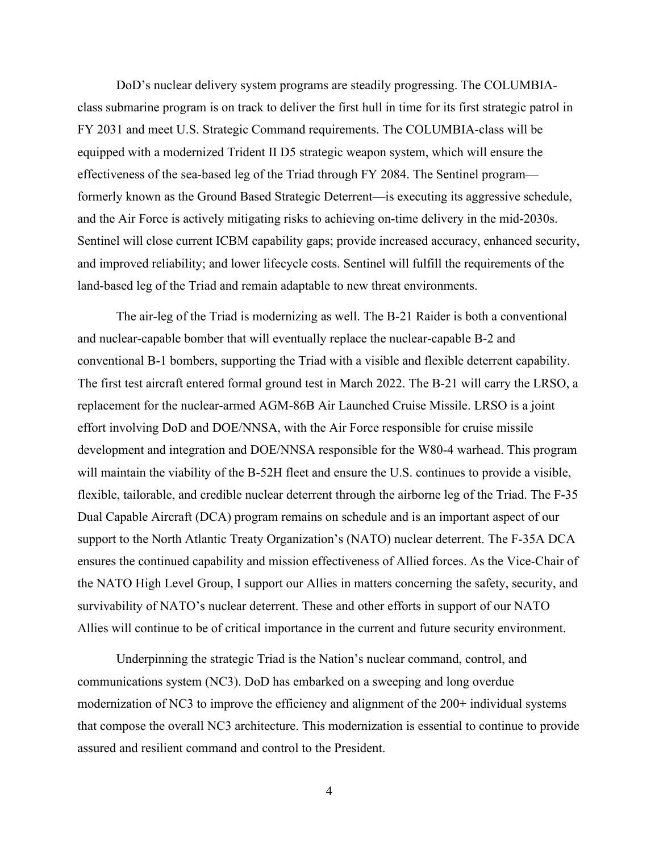DoD's nuclear delivery system programs are steadily progressing. The COLUMBIAclass submarine program is on track to deliver the first hull in time for its first strategic patrol in FY 2031 and meet U.S. Strategic Command requirements. The COLUMBIA-class will be equipped with a modernized Trident II D5 strategic weapon system, which will ensure the effectiveness of the sea-based leg of the Triad through FY 2084. The Sentinel program–– formerly known as the Ground Based Strategic Deterrent—is executing its aggressive schedule, and the Air Force is actively mitigating risks to achieving on-time delivery in the mid-2030s. Sentinel will close current ICBM capability gaps; provide increased accuracy, enhanced security, and improved reliability; and lower lifecycle costs. Sentinel will fulfill the requirements of the land-based leg of the Triad and remain adaptable to new threat environments.

The air-leg of the Triad is modernizing as well. The B-21 Raider is both a conventional and nuclear-capable bomber that will eventually replace the nuclear-capable B-2 and conventional B-1 bombers, supporting the Triad with a visible and flexible deterrent capability. The first test aircraft entered formal ground test in March 2022. The B-21 will carry the LRSO, a replacement for the nuclear-armed AGM-86B Air Launched Cruise Missile. LRSO is a joint effort involving DoD and DOE/NNSA, with the Air Force responsible for cruise missile development and integration and DOE/NNSA responsible for the W80-4 warhead. This program will maintain the viability of the B-52H fleet and ensure the U.S. continues to provide a visible, flexible, tailorable, and credible nuclear deterrent through the airborne leg of the Triad. The F-35 Dual Capable Aircraft (DCA) program remains on schedule and is an important aspect of our support to the North Atlantic Treaty Organization's (NATO) nuclear deterrent. The F-35A DCA ensures the continued capability and mission effectiveness of Allied forces. As the Vice-Chair of the NATO High Level Group, I support our Allies in matters concerning the safety, security, and survivability of NATO's nuclear deterrent. These and other efforts in support of our NATO Allies will continue to be of critical importance in the current and future security environment.

Underpinning the strategic Triad is the Nation's nuclear command, control, and communications system (NC3). DoD has embarked on a sweeping and long overdue modernization of NC3 to improve the efficiency and alignment of the 200+ individual systems that compose the overall NC3 architecture. This modernization is essential to continue to provide assured and resilient command and control to the President.

4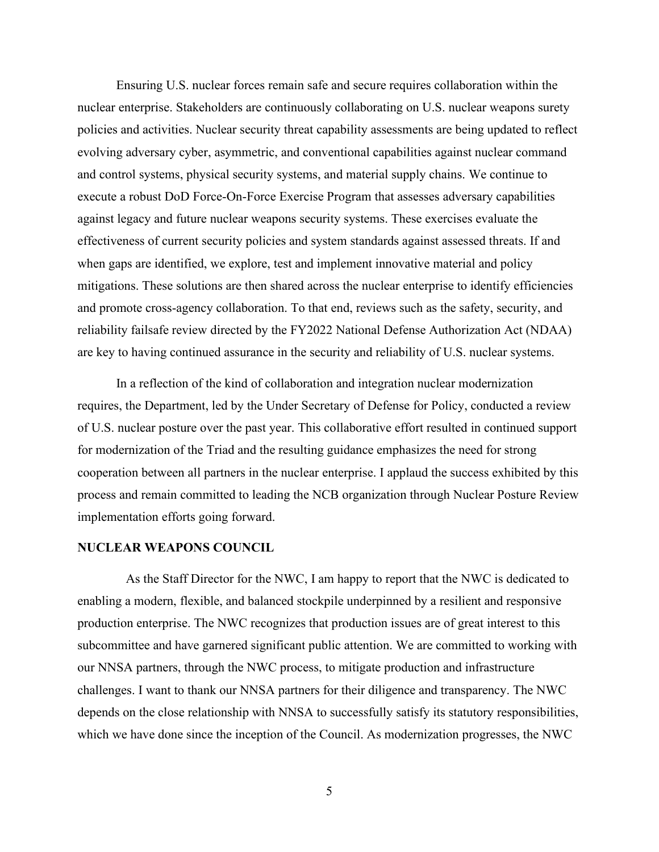Ensuring U.S. nuclear forces remain safe and secure requires collaboration within the nuclear enterprise. Stakeholders are continuously collaborating on U.S. nuclear weapons surety policies and activities. Nuclear security threat capability assessments are being updated to reflect evolving adversary cyber, asymmetric, and conventional capabilities against nuclear command and control systems, physical security systems, and material supply chains. We continue to execute a robust DoD Force-On-Force Exercise Program that assesses adversary capabilities against legacy and future nuclear weapons security systems. These exercises evaluate the effectiveness of current security policies and system standards against assessed threats. If and when gaps are identified, we explore, test and implement innovative material and policy mitigations. These solutions are then shared across the nuclear enterprise to identify efficiencies and promote cross-agency collaboration. To that end, reviews such as the safety, security, and reliability failsafe review directed by the FY2022 National Defense Authorization Act (NDAA) are key to having continued assurance in the security and reliability of U.S. nuclear systems.

In a reflection of the kind of collaboration and integration nuclear modernization requires, the Department, led by the Under Secretary of Defense for Policy, conducted a review of U.S. nuclear posture over the past year. This collaborative effort resulted in continued support for modernization of the Triad and the resulting guidance emphasizes the need for strong cooperation between all partners in the nuclear enterprise. I applaud the success exhibited by this process and remain committed to leading the NCB organization through Nuclear Posture Review implementation efforts going forward.

#### **NUCLEAR WEAPONS COUNCIL**

As the Staff Director for the NWC, I am happy to report that the NWC is dedicated to enabling a modern, flexible, and balanced stockpile underpinned by a resilient and responsive production enterprise. The NWC recognizes that production issues are of great interest to this subcommittee and have garnered significant public attention. We are committed to working with our NNSA partners, through the NWC process, to mitigate production and infrastructure challenges. I want to thank our NNSA partners for their diligence and transparency. The NWC depends on the close relationship with NNSA to successfully satisfy its statutory responsibilities, which we have done since the inception of the Council. As modernization progresses, the NWC

5